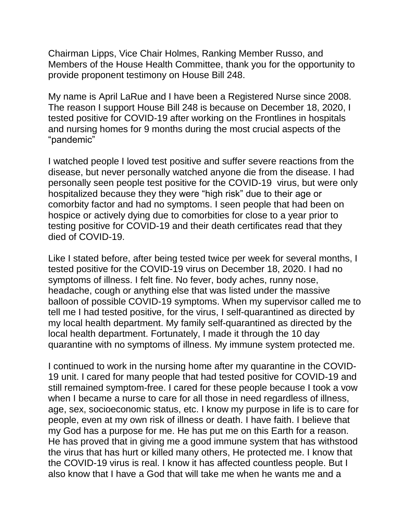Chairman Lipps, Vice Chair Holmes, Ranking Member Russo, and Members of the House Health Committee, thank you for the opportunity to provide proponent testimony on House Bill 248.

My name is April LaRue and I have been a Registered Nurse since 2008. The reason I support House Bill 248 is because on December 18, 2020, I tested positive for COVID-19 after working on the Frontlines in hospitals and nursing homes for 9 months during the most crucial aspects of the "pandemic"

I watched people I loved test positive and suffer severe reactions from the disease, but never personally watched anyone die from the disease. I had personally seen people test positive for the COVID-19 virus, but were only hospitalized because they they were "high risk" due to their age or comorbity factor and had no symptoms. I seen people that had been on hospice or actively dying due to comorbities for close to a year prior to testing positive for COVID-19 and their death certificates read that they died of COVID-19.

Like I stated before, after being tested twice per week for several months, I tested positive for the COVID-19 virus on December 18, 2020. I had no symptoms of illness. I felt fine. No fever, body aches, runny nose, headache, cough or anything else that was listed under the massive balloon of possible COVID-19 symptoms. When my supervisor called me to tell me I had tested positive, for the virus, I self-quarantined as directed by my local health department. My family self-quarantined as directed by the local health department. Fortunately, I made it through the 10 day quarantine with no symptoms of illness. My immune system protected me.

I continued to work in the nursing home after my quarantine in the COVID-19 unit. I cared for many people that had tested positive for COVID-19 and still remained symptom-free. I cared for these people because I took a vow when I became a nurse to care for all those in need regardless of illness, age, sex, socioeconomic status, etc. I know my purpose in life is to care for people, even at my own risk of illness or death. I have faith. I believe that my God has a purpose for me. He has put me on this Earth for a reason. He has proved that in giving me a good immune system that has withstood the virus that has hurt or killed many others, He protected me. I know that the COVID-19 virus is real. I know it has affected countless people. But I also know that I have a God that will take me when he wants me and a